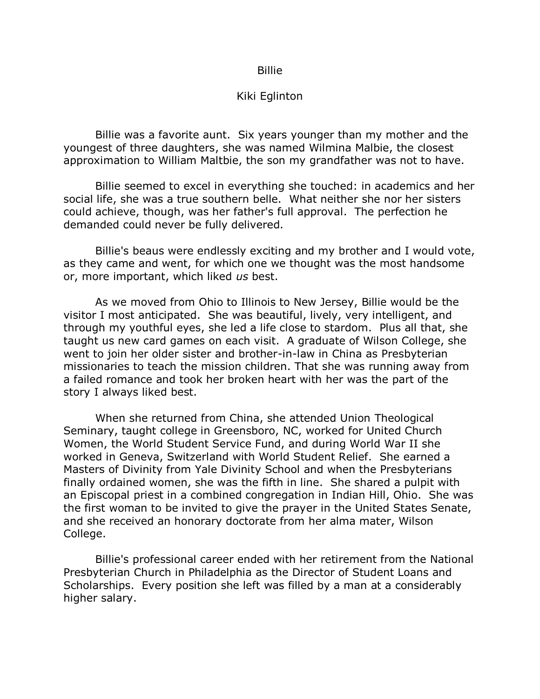## Billie

## Kiki Eglinton

Billie was a favorite aunt. Six years younger than my mother and the youngest of three daughters, she was named Wilmina Malbie, the closest approximation to William Maltbie, the son my grandfather was not to have.

Billie seemed to excel in everything she touched: in academics and her social life, she was a true southern belle. What neither she nor her sisters could achieve, though, was her father's full approval. The perfection he demanded could never be fully delivered.

Billie's beaus were endlessly exciting and my brother and I would vote, as they came and went, for which one we thought was the most handsome or, more important, which liked *us* best.

As we moved from Ohio to Illinois to New Jersey, Billie would be the visitor I most anticipated. She was beautiful, lively, very intelligent, and through my youthful eyes, she led a life close to stardom. Plus all that, she taught us new card games on each visit. A graduate of Wilson College, she went to join her older sister and brother-in-law in China as Presbyterian missionaries to teach the mission children. That she was running away from a failed romance and took her broken heart with her was the part of the story I always liked best.

When she returned from China, she attended Union Theological Seminary, taught college in Greensboro, NC, worked for United Church Women, the World Student Service Fund, and during World War II she worked in Geneva, Switzerland with World Student Relief. She earned a Masters of Divinity from Yale Divinity School and when the Presbyterians finally ordained women, she was the fifth in line. She shared a pulpit with an Episcopal priest in a combined congregation in Indian Hill, Ohio. She was the first woman to be invited to give the prayer in the United States Senate, and she received an honorary doctorate from her alma mater, Wilson College.

Billie's professional career ended with her retirement from the National Presbyterian Church in Philadelphia as the Director of Student Loans and Scholarships. Every position she left was filled by a man at a considerably higher salary.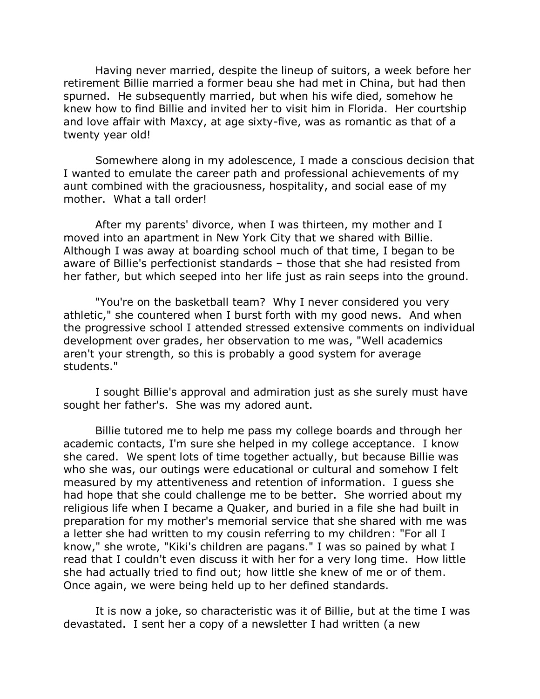Having never married, despite the lineup of suitors, a week before her retirement Billie married a former beau she had met in China, but had then spurned. He subsequently married, but when his wife died, somehow he knew how to find Billie and invited her to visit him in Florida. Her courtship and love affair with Maxcy, at age sixty-five, was as romantic as that of a twenty year old!

Somewhere along in my adolescence, I made a conscious decision that I wanted to emulate the career path and professional achievements of my aunt combined with the graciousness, hospitality, and social ease of my mother. What a tall order!

After my parents' divorce, when I was thirteen, my mother and I moved into an apartment in New York City that we shared with Billie. Although I was away at boarding school much of that time, I began to be aware of Billie's perfectionist standards – those that she had resisted from her father, but which seeped into her life just as rain seeps into the ground.

"You're on the basketball team? Why I never considered you very athletic," she countered when I burst forth with my good news. And when the progressive school I attended stressed extensive comments on individual development over grades, her observation to me was, "Well academics aren't your strength, so this is probably a good system for average students."

I sought Billie's approval and admiration just as she surely must have sought her father's. She was my adored aunt.

Billie tutored me to help me pass my college boards and through her academic contacts, I'm sure she helped in my college acceptance. I know she cared. We spent lots of time together actually, but because Billie was who she was, our outings were educational or cultural and somehow I felt measured by my attentiveness and retention of information. I guess she had hope that she could challenge me to be better. She worried about my religious life when I became a Quaker, and buried in a file she had built in preparation for my mother's memorial service that she shared with me was a letter she had written to my cousin referring to my children: "For all I know," she wrote, "Kiki's children are pagans." I was so pained by what I read that I couldn't even discuss it with her for a very long time. How little she had actually tried to find out; how little she knew of me or of them. Once again, we were being held up to her defined standards.

It is now a joke, so characteristic was it of Billie, but at the time I was devastated. I sent her a copy of a newsletter I had written (a new